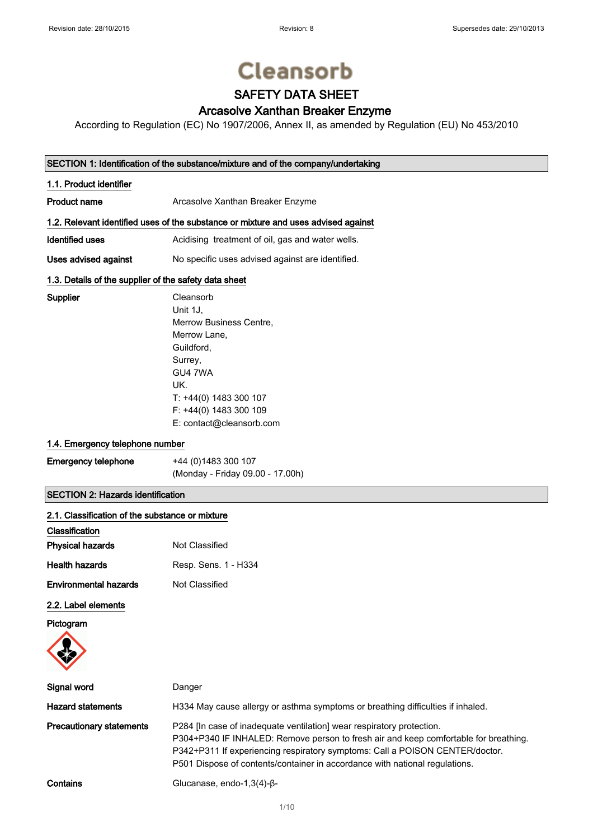Supplier

# **Cleansorb**

# SAFETY DATA SHEET

# Arcasolve Xanthan Breaker Enzyme

According to Regulation (EC) No 1907/2006, Annex II, as amended by Regulation (EU) No 453/2010

### SECTION 1: Identification of the substance/mixture and of the company/undertaking

| 1.1. Product identifier                                                            |                                                  |  |
|------------------------------------------------------------------------------------|--------------------------------------------------|--|
| Product name                                                                       | Arcasolve Xanthan Breaker Enzyme                 |  |
| 1.2. Relevant identified uses of the substance or mixture and uses advised against |                                                  |  |
| Identified uses                                                                    | Acidising treatment of oil, gas and water wells. |  |
| Uses advised against                                                               | No specific uses advised against are identified. |  |

### 1.3. Details of the supplier of the safety data sheet

| Cleansorb                |
|--------------------------|
| Unit 1J.                 |
| Merrow Business Centre.  |
| Merrow Lane,             |
| Guildford.               |
| Surrey,                  |
| GU4 7WA                  |
| UK.                      |
| T: +44(0) 1483 300 107   |
| F: +44(0) 1483 300 109   |
| E: contact@cleansorb.com |

### 1.4. Emergency telephone number

| <b>Emergency telephone</b> | +44 (0) 1483 300 107             |
|----------------------------|----------------------------------|
|                            | (Monday - Friday 09.00 - 17.00h) |

### SECTION 2: Hazards identification

| 2.1. Classification of the substance or mixture |                                                                                                                                                                                                                                                                                                                              |
|-------------------------------------------------|------------------------------------------------------------------------------------------------------------------------------------------------------------------------------------------------------------------------------------------------------------------------------------------------------------------------------|
| Classification                                  |                                                                                                                                                                                                                                                                                                                              |
| <b>Physical hazards</b>                         | Not Classified                                                                                                                                                                                                                                                                                                               |
| <b>Health hazards</b>                           | Resp. Sens. 1 - H334                                                                                                                                                                                                                                                                                                         |
| <b>Environmental hazards</b>                    | Not Classified                                                                                                                                                                                                                                                                                                               |
| 2.2. Label elements                             |                                                                                                                                                                                                                                                                                                                              |
| Pictogram                                       |                                                                                                                                                                                                                                                                                                                              |
| Signal word                                     | Danger                                                                                                                                                                                                                                                                                                                       |
| <b>Hazard statements</b>                        | H334 May cause allergy or asthma symptoms or breathing difficulties if inhaled.                                                                                                                                                                                                                                              |
| <b>Precautionary statements</b>                 | P284 [In case of inadequate ventilation] wear respiratory protection.<br>P304+P340 IF INHALED: Remove person to fresh air and keep comfortable for breathing.<br>P342+P311 If experiencing respiratory symptoms: Call a POISON CENTER/doctor.<br>P501 Dispose of contents/container in accordance with national regulations. |
| Contains                                        | Glucanase, endo-1,3(4)- $\beta$ -                                                                                                                                                                                                                                                                                            |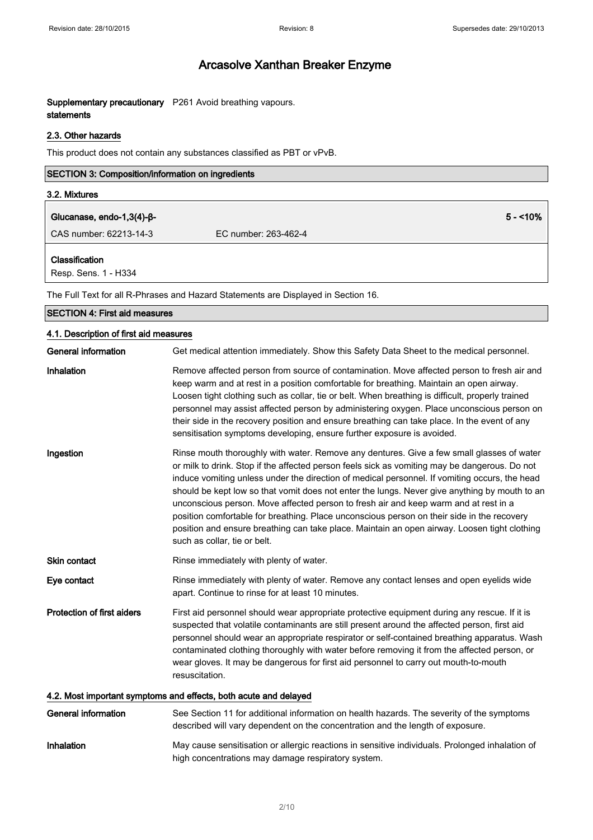### Supplementary precautionary P261 Avoid breathing vapours. statements

### 2.3. Other hazards

This product does not contain any substances classified as PBT or vPvB.

| <b>SECTION 3: Composition/information on ingredients</b> |                      |           |
|----------------------------------------------------------|----------------------|-----------|
| 3.2. Mixtures                                            |                      |           |
| Glucanase, endo-1,3(4)- $\beta$ -                        |                      | $5 - 10%$ |
| CAS number: 62213-14-3                                   | EC number: 263-462-4 |           |
| <b>Classification</b><br>Resp. Sens. 1 - H334            |                      |           |
|                                                          |                      |           |

The Full Text for all R-Phrases and Hazard Statements are Displayed in Section 16.

| <b>SECTION 4: First aid measures</b>                             |                                                                                                                                                                                                                                                                                                                                                                                                                                                                                                                                                                                                                                                                                                                    |  |
|------------------------------------------------------------------|--------------------------------------------------------------------------------------------------------------------------------------------------------------------------------------------------------------------------------------------------------------------------------------------------------------------------------------------------------------------------------------------------------------------------------------------------------------------------------------------------------------------------------------------------------------------------------------------------------------------------------------------------------------------------------------------------------------------|--|
| 4.1. Description of first aid measures                           |                                                                                                                                                                                                                                                                                                                                                                                                                                                                                                                                                                                                                                                                                                                    |  |
| <b>General information</b>                                       | Get medical attention immediately. Show this Safety Data Sheet to the medical personnel.                                                                                                                                                                                                                                                                                                                                                                                                                                                                                                                                                                                                                           |  |
| Inhalation                                                       | Remove affected person from source of contamination. Move affected person to fresh air and<br>keep warm and at rest in a position comfortable for breathing. Maintain an open airway.<br>Loosen tight clothing such as collar, tie or belt. When breathing is difficult, properly trained<br>personnel may assist affected person by administering oxygen. Place unconscious person on<br>their side in the recovery position and ensure breathing can take place. In the event of any<br>sensitisation symptoms developing, ensure further exposure is avoided.                                                                                                                                                   |  |
| Ingestion                                                        | Rinse mouth thoroughly with water. Remove any dentures. Give a few small glasses of water<br>or milk to drink. Stop if the affected person feels sick as vomiting may be dangerous. Do not<br>induce vomiting unless under the direction of medical personnel. If vomiting occurs, the head<br>should be kept low so that vomit does not enter the lungs. Never give anything by mouth to an<br>unconscious person. Move affected person to fresh air and keep warm and at rest in a<br>position comfortable for breathing. Place unconscious person on their side in the recovery<br>position and ensure breathing can take place. Maintain an open airway. Loosen tight clothing<br>such as collar, tie or belt. |  |
| <b>Skin contact</b>                                              | Rinse immediately with plenty of water.                                                                                                                                                                                                                                                                                                                                                                                                                                                                                                                                                                                                                                                                            |  |
| Eye contact                                                      | Rinse immediately with plenty of water. Remove any contact lenses and open eyelids wide<br>apart. Continue to rinse for at least 10 minutes.                                                                                                                                                                                                                                                                                                                                                                                                                                                                                                                                                                       |  |
| <b>Protection of first aiders</b>                                | First aid personnel should wear appropriate protective equipment during any rescue. If it is<br>suspected that volatile contaminants are still present around the affected person, first aid<br>personnel should wear an appropriate respirator or self-contained breathing apparatus. Wash<br>contaminated clothing thoroughly with water before removing it from the affected person, or<br>wear gloves. It may be dangerous for first aid personnel to carry out mouth-to-mouth<br>resuscitation.                                                                                                                                                                                                               |  |
| 4.2. Most important symptoms and effects, both acute and delayed |                                                                                                                                                                                                                                                                                                                                                                                                                                                                                                                                                                                                                                                                                                                    |  |
| <b>General information</b>                                       | See Section 11 for additional information on health hazards. The severity of the symptoms<br>described will vary dependent on the concentration and the length of exposure.                                                                                                                                                                                                                                                                                                                                                                                                                                                                                                                                        |  |

Inhalation May cause sensitisation or allergic reactions in sensitive individuals. Prolonged inhalation of high concentrations may damage respiratory system.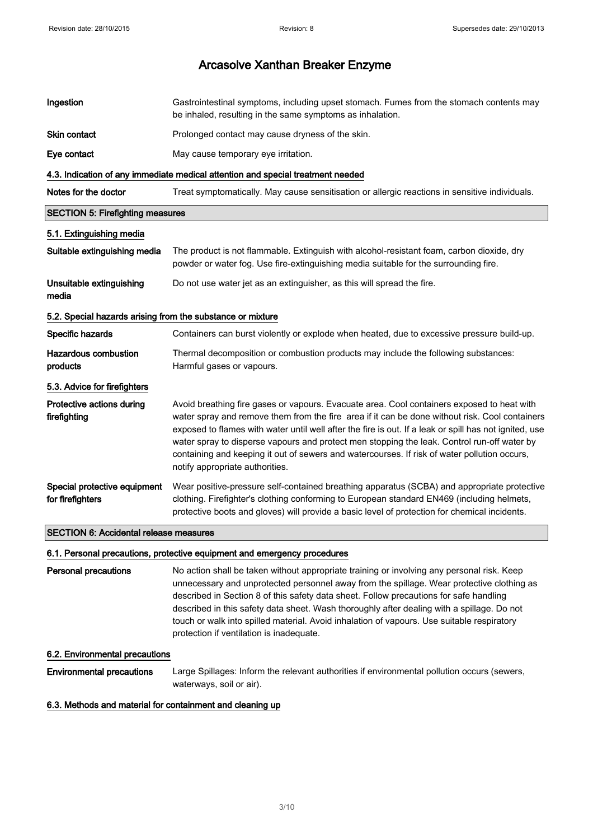| Ingestion                                                                       | Gastrointestinal symptoms, including upset stomach. Fumes from the stomach contents may<br>be inhaled, resulting in the same symptoms as inhalation.                                                                                                                                                                                                                                                                                                                                                                                     |
|---------------------------------------------------------------------------------|------------------------------------------------------------------------------------------------------------------------------------------------------------------------------------------------------------------------------------------------------------------------------------------------------------------------------------------------------------------------------------------------------------------------------------------------------------------------------------------------------------------------------------------|
| Skin contact                                                                    | Prolonged contact may cause dryness of the skin.                                                                                                                                                                                                                                                                                                                                                                                                                                                                                         |
| Eye contact                                                                     | May cause temporary eye irritation.                                                                                                                                                                                                                                                                                                                                                                                                                                                                                                      |
| 4.3. Indication of any immediate medical attention and special treatment needed |                                                                                                                                                                                                                                                                                                                                                                                                                                                                                                                                          |
| Notes for the doctor                                                            | Treat symptomatically. May cause sensitisation or allergic reactions in sensitive individuals.                                                                                                                                                                                                                                                                                                                                                                                                                                           |
| <b>SECTION 5: Firefighting measures</b>                                         |                                                                                                                                                                                                                                                                                                                                                                                                                                                                                                                                          |
| 5.1. Extinguishing media                                                        |                                                                                                                                                                                                                                                                                                                                                                                                                                                                                                                                          |
| Suitable extinguishing media                                                    | The product is not flammable. Extinguish with alcohol-resistant foam, carbon dioxide, dry<br>powder or water fog. Use fire-extinguishing media suitable for the surrounding fire.                                                                                                                                                                                                                                                                                                                                                        |
| Unsuitable extinguishing<br>media                                               | Do not use water jet as an extinguisher, as this will spread the fire.                                                                                                                                                                                                                                                                                                                                                                                                                                                                   |
| 5.2. Special hazards arising from the substance or mixture                      |                                                                                                                                                                                                                                                                                                                                                                                                                                                                                                                                          |
| Specific hazards                                                                | Containers can burst violently or explode when heated, due to excessive pressure build-up.                                                                                                                                                                                                                                                                                                                                                                                                                                               |
| Hazardous combustion<br>products                                                | Thermal decomposition or combustion products may include the following substances:<br>Harmful gases or vapours.                                                                                                                                                                                                                                                                                                                                                                                                                          |
| 5.3. Advice for firefighters                                                    |                                                                                                                                                                                                                                                                                                                                                                                                                                                                                                                                          |
| Protective actions during<br>firefighting                                       | Avoid breathing fire gases or vapours. Evacuate area. Cool containers exposed to heat with<br>water spray and remove them from the fire area if it can be done without risk. Cool containers<br>exposed to flames with water until well after the fire is out. If a leak or spill has not ignited, use<br>water spray to disperse vapours and protect men stopping the leak. Control run-off water by<br>containing and keeping it out of sewers and watercourses. If risk of water pollution occurs,<br>notify appropriate authorities. |
| Special protective equipment<br>for firefighters                                | Wear positive-pressure self-contained breathing apparatus (SCBA) and appropriate protective<br>clothing. Firefighter's clothing conforming to European standard EN469 (including helmets,<br>protective boots and gloves) will provide a basic level of protection for chemical incidents.                                                                                                                                                                                                                                               |
| <b>SECTION 6: Accidental release measures</b>                                   |                                                                                                                                                                                                                                                                                                                                                                                                                                                                                                                                          |

### 6.1. Personal precautions, protective equipment and emergency procedures

Personal precautions No action shall be taken without appropriate training or involving any personal risk. Keep unnecessary and unprotected personnel away from the spillage. Wear protective clothing as described in Section 8 of this safety data sheet. Follow precautions for safe handling described in this safety data sheet. Wash thoroughly after dealing with a spillage. Do not touch or walk into spilled material. Avoid inhalation of vapours. Use suitable respiratory protection if ventilation is inadequate.

#### 6.2. Environmental precautions

Environmental precautions Large Spillages: Inform the relevant authorities if environmental pollution occurs (sewers, waterways, soil or air).

#### 6.3. Methods and material for containment and cleaning up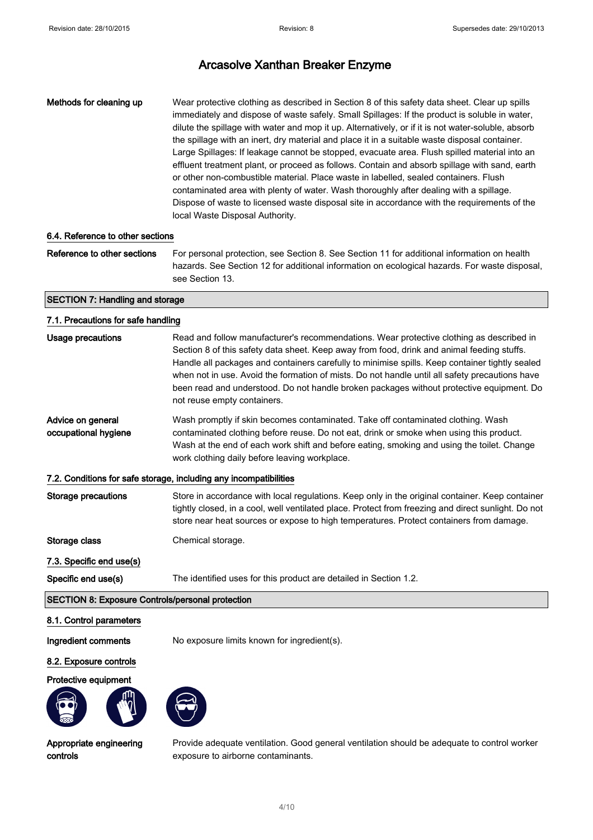Methods for cleaning up Wear protective clothing as described in Section 8 of this safety data sheet. Clear up spills immediately and dispose of waste safely. Small Spillages: If the product is soluble in water, dilute the spillage with water and mop it up. Alternatively, or if it is not water-soluble, absorb the spillage with an inert, dry material and place it in a suitable waste disposal container. Large Spillages: If leakage cannot be stopped, evacuate area. Flush spilled material into an effluent treatment plant, or proceed as follows. Contain and absorb spillage with sand, earth or other non-combustible material. Place waste in labelled, sealed containers. Flush contaminated area with plenty of water. Wash thoroughly after dealing with a spillage. Dispose of waste to licensed waste disposal site in accordance with the requirements of the local Waste Disposal Authority.

#### 6.4. Reference to other sections

Reference to other sections For personal protection, see Section 8. See Section 11 for additional information on health hazards. See Section 12 for additional information on ecological hazards. For waste disposal, see Section 13.

#### SECTION 7: Handling and storage

#### 7.1. Precautions for safe handling

| Section 8 of this safety data sheet. Keep away from food, drink and animal feeding stuffs.<br>Handle all packages and containers carefully to minimise spills. Keep container tightly sealed                                                                                                                             |  |  |
|--------------------------------------------------------------------------------------------------------------------------------------------------------------------------------------------------------------------------------------------------------------------------------------------------------------------------|--|--|
| when not in use. Avoid the formation of mists. Do not handle until all safety precautions have<br>been read and understood. Do not handle broken packages without protective equipment. Do<br>not reuse empty containers.                                                                                                |  |  |
| Advice on general<br>Wash promptly if skin becomes contaminated. Take off contaminated clothing. Wash<br>occupational hygiene<br>contaminated clothing before reuse. Do not eat, drink or smoke when using this product.<br>Wash at the end of each work shift and before eating, smoking and using the toilet. Change   |  |  |
| work clothing daily before leaving workplace.                                                                                                                                                                                                                                                                            |  |  |
| 7.2. Conditions for safe storage, including any incompatibilities                                                                                                                                                                                                                                                        |  |  |
| Storage precautions<br>Store in accordance with local regulations. Keep only in the original container. Keep container<br>tightly closed, in a cool, well ventilated place. Protect from freezing and direct sunlight. Do not<br>store near heat sources or expose to high temperatures. Protect containers from damage. |  |  |
| Storage class<br>Chemical storage.                                                                                                                                                                                                                                                                                       |  |  |
| 7.3. Specific end use(s)                                                                                                                                                                                                                                                                                                 |  |  |
| Specific end use(s)<br>The identified uses for this product are detailed in Section 1.2.                                                                                                                                                                                                                                 |  |  |
| <b>SECTION 8: Exposure Controls/personal protection</b>                                                                                                                                                                                                                                                                  |  |  |

#### 8.1. Control parameters

Ingredient comments No exposure limits known for ingredient(s).

#### 8.2. Exposure controls

### Protective equipment





Appropriate engineering controls

Provide adequate ventilation. Good general ventilation should be adequate to control worker exposure to airborne contaminants.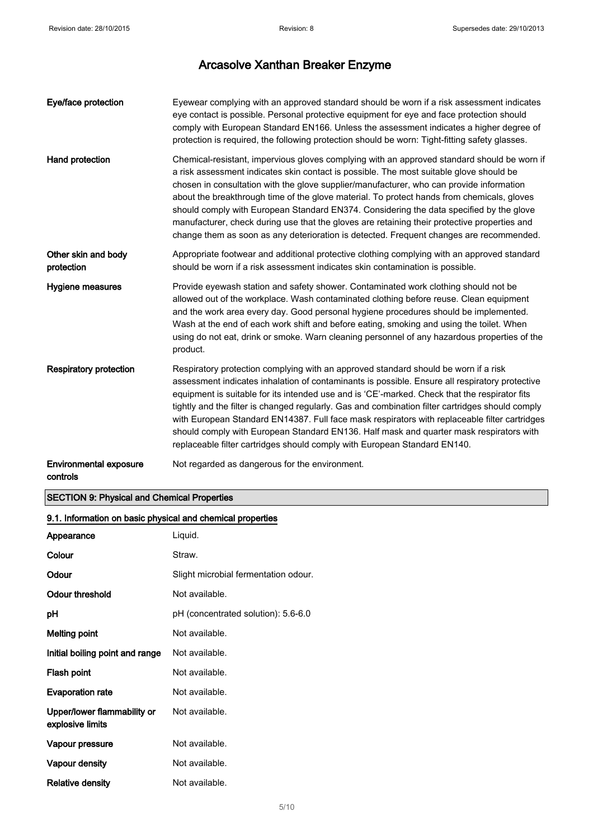| Eye/face protection                       | Eyewear complying with an approved standard should be worn if a risk assessment indicates<br>eye contact is possible. Personal protective equipment for eye and face protection should<br>comply with European Standard EN166. Unless the assessment indicates a higher degree of<br>protection is required, the following protection should be worn: Tight-fitting safety glasses.                                                                                                                                                                                                                                                                                    |
|-------------------------------------------|------------------------------------------------------------------------------------------------------------------------------------------------------------------------------------------------------------------------------------------------------------------------------------------------------------------------------------------------------------------------------------------------------------------------------------------------------------------------------------------------------------------------------------------------------------------------------------------------------------------------------------------------------------------------|
| Hand protection                           | Chemical-resistant, impervious gloves complying with an approved standard should be worn if<br>a risk assessment indicates skin contact is possible. The most suitable glove should be<br>chosen in consultation with the glove supplier/manufacturer, who can provide information<br>about the breakthrough time of the glove material. To protect hands from chemicals, gloves<br>should comply with European Standard EN374. Considering the data specified by the glove<br>manufacturer, check during use that the gloves are retaining their protective properties and<br>change them as soon as any deterioration is detected. Frequent changes are recommended. |
| Other skin and body<br>protection         | Appropriate footwear and additional protective clothing complying with an approved standard<br>should be worn if a risk assessment indicates skin contamination is possible.                                                                                                                                                                                                                                                                                                                                                                                                                                                                                           |
| Hygiene measures                          | Provide eyewash station and safety shower. Contaminated work clothing should not be<br>allowed out of the workplace. Wash contaminated clothing before reuse. Clean equipment<br>and the work area every day. Good personal hygiene procedures should be implemented.<br>Wash at the end of each work shift and before eating, smoking and using the toilet. When<br>using do not eat, drink or smoke. Warn cleaning personnel of any hazardous properties of the<br>product.                                                                                                                                                                                          |
| <b>Respiratory protection</b>             | Respiratory protection complying with an approved standard should be worn if a risk<br>assessment indicates inhalation of contaminants is possible. Ensure all respiratory protective<br>equipment is suitable for its intended use and is 'CE'-marked. Check that the respirator fits<br>tightly and the filter is changed regularly. Gas and combination filter cartridges should comply<br>with European Standard EN14387. Full face mask respirators with replaceable filter cartridges<br>should comply with European Standard EN136. Half mask and quarter mask respirators with<br>replaceable filter cartridges should comply with European Standard EN140.    |
| <b>Environmental exposure</b><br>controls | Not regarded as dangerous for the environment.                                                                                                                                                                                                                                                                                                                                                                                                                                                                                                                                                                                                                         |

## SECTION 9: Physical and Chemical Properties

| 9.1. Information on basic physical and chemical properties |                                      |  |
|------------------------------------------------------------|--------------------------------------|--|
| Appearance                                                 | Liquid.                              |  |
| Colour                                                     | Straw.                               |  |
| Odour                                                      | Slight microbial fermentation odour. |  |
| Odour threshold                                            | Not available.                       |  |
| рH                                                         | pH (concentrated solution): 5.6-6.0  |  |
| Melting point                                              | Not available.                       |  |
| Initial boiling point and range                            | Not available.                       |  |
| Flash point                                                | Not available.                       |  |
| <b>Evaporation rate</b>                                    | Not available.                       |  |
| Upper/lower flammability or<br>explosive limits            | Not available.                       |  |
| Vapour pressure                                            | Not available.                       |  |
| Vapour density                                             | Not available.                       |  |
| <b>Relative density</b>                                    | Not available.                       |  |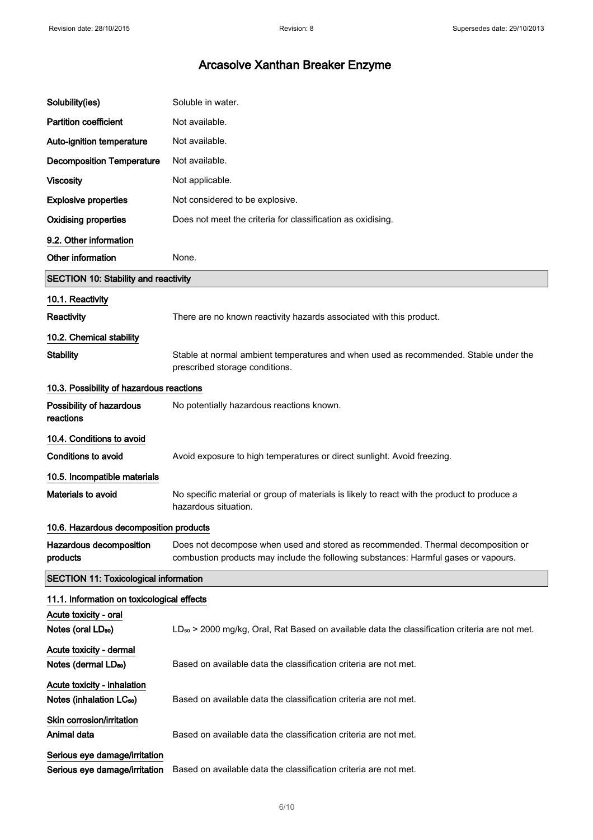| Solubility(ies)                                                     | Soluble in water.                                                                                                                                                       |
|---------------------------------------------------------------------|-------------------------------------------------------------------------------------------------------------------------------------------------------------------------|
| <b>Partition coefficient</b>                                        | Not available.                                                                                                                                                          |
| Auto-ignition temperature                                           | Not available.                                                                                                                                                          |
| <b>Decomposition Temperature</b>                                    | Not available.                                                                                                                                                          |
| <b>Viscosity</b>                                                    | Not applicable.                                                                                                                                                         |
| <b>Explosive properties</b>                                         | Not considered to be explosive.                                                                                                                                         |
| <b>Oxidising properties</b>                                         | Does not meet the criteria for classification as oxidising.                                                                                                             |
| 9.2. Other information                                              |                                                                                                                                                                         |
| Other information                                                   | None.                                                                                                                                                                   |
| SECTION 10: Stability and reactivity                                |                                                                                                                                                                         |
| 10.1. Reactivity                                                    |                                                                                                                                                                         |
| Reactivity                                                          | There are no known reactivity hazards associated with this product.                                                                                                     |
| 10.2. Chemical stability                                            |                                                                                                                                                                         |
| <b>Stability</b>                                                    | Stable at normal ambient temperatures and when used as recommended. Stable under the<br>prescribed storage conditions.                                                  |
| 10.3. Possibility of hazardous reactions                            |                                                                                                                                                                         |
| Possibility of hazardous<br>reactions                               | No potentially hazardous reactions known.                                                                                                                               |
| 10.4. Conditions to avoid                                           |                                                                                                                                                                         |
| Conditions to avoid                                                 | Avoid exposure to high temperatures or direct sunlight. Avoid freezing.                                                                                                 |
| 10.5. Incompatible materials                                        |                                                                                                                                                                         |
| Materials to avoid                                                  | No specific material or group of materials is likely to react with the product to produce a<br>hazardous situation.                                                     |
| 10.6. Hazardous decomposition products                              |                                                                                                                                                                         |
| Hazardous decomposition<br>products                                 | Does not decompose when used and stored as recommended. Thermal decomposition or<br>combustion products may include the following substances: Harmful gases or vapours. |
| <b>SECTION 11: Toxicological information</b>                        |                                                                                                                                                                         |
| 11.1. Information on toxicological effects                          |                                                                                                                                                                         |
| Acute toxicity - oral<br>Notes (oral LD <sub>50</sub> )             | LD <sub>50</sub> > 2000 mg/kg, Oral, Rat Based on available data the classification criteria are not met.                                                               |
| Acute toxicity - dermal<br>Notes (dermal LD <sub>50</sub> )         | Based on available data the classification criteria are not met.                                                                                                        |
| Acute toxicity - inhalation<br>Notes (inhalation LC <sub>50</sub> ) | Based on available data the classification criteria are not met.                                                                                                        |
| Skin corrosion/irritation<br>Animal data                            | Based on available data the classification criteria are not met.                                                                                                        |
| Serious eye damage/irritation<br>Serious eye damage/irritation      | Based on available data the classification criteria are not met.                                                                                                        |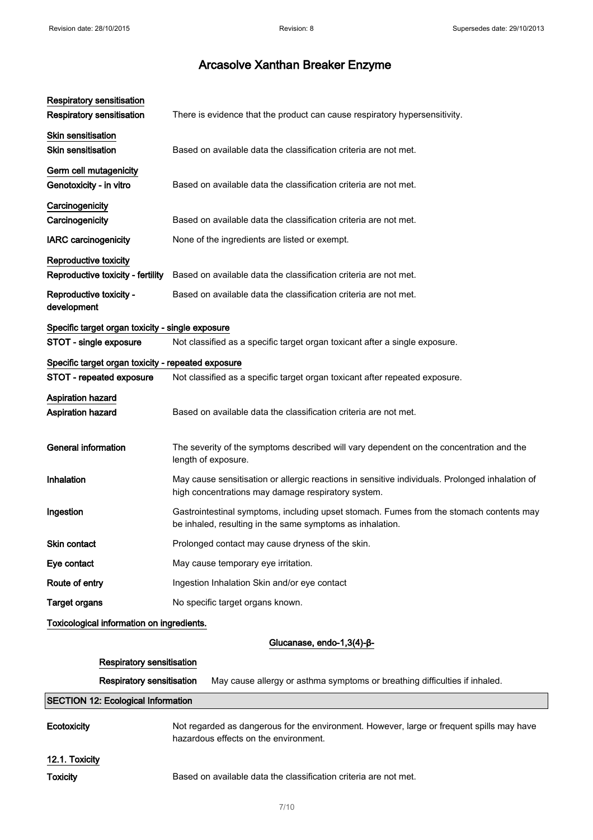| <b>Respiratory sensitisation</b>                           |                                                                                                                                                       |
|------------------------------------------------------------|-------------------------------------------------------------------------------------------------------------------------------------------------------|
| <b>Respiratory sensitisation</b>                           | There is evidence that the product can cause respiratory hypersensitivity.                                                                            |
| Skin sensitisation<br><b>Skin sensitisation</b>            | Based on available data the classification criteria are not met.                                                                                      |
| Germ cell mutagenicity<br>Genotoxicity - in vitro          | Based on available data the classification criteria are not met.                                                                                      |
| Carcinogenicity<br>Carcinogenicity                         | Based on available data the classification criteria are not met.                                                                                      |
| <b>IARC</b> carcinogenicity                                | None of the ingredients are listed or exempt.                                                                                                         |
| Reproductive toxicity<br>Reproductive toxicity - fertility | Based on available data the classification criteria are not met.                                                                                      |
| Reproductive toxicity -<br>development                     | Based on available data the classification criteria are not met.                                                                                      |
| Specific target organ toxicity - single exposure           |                                                                                                                                                       |
| STOT - single exposure                                     | Not classified as a specific target organ toxicant after a single exposure.                                                                           |
| Specific target organ toxicity - repeated exposure         |                                                                                                                                                       |
| STOT - repeated exposure                                   | Not classified as a specific target organ toxicant after repeated exposure.                                                                           |
| <b>Aspiration hazard</b><br>Aspiration hazard              | Based on available data the classification criteria are not met.                                                                                      |
| <b>General information</b>                                 | The severity of the symptoms described will vary dependent on the concentration and the<br>length of exposure.                                        |
| Inhalation                                                 | May cause sensitisation or allergic reactions in sensitive individuals. Prolonged inhalation of<br>high concentrations may damage respiratory system. |
| Ingestion                                                  | Gastrointestinal symptoms, including upset stomach. Fumes from the stomach contents may<br>be inhaled, resulting in the same symptoms as inhalation.  |
| Skin contact                                               | Prolonged contact may cause dryness of the skin.                                                                                                      |
| Eye contact                                                | May cause temporary eye irritation.                                                                                                                   |
| Route of entry                                             | Ingestion Inhalation Skin and/or eye contact                                                                                                          |
| <b>Target organs</b>                                       | No specific target organs known.                                                                                                                      |
| Toxicological information on ingredients.                  |                                                                                                                                                       |

Glucanase, endo-1,3(4)-β-

### Respiratory sensitisation

Respiratory sensitisation May cause allergy or asthma symptoms or breathing difficulties if inhaled.

### SECTION 12: Ecological Information

| Ecotoxicity    | Not regarded as dangerous for the environment. However, large or frequent spills may have<br>hazardous effects on the environment. |
|----------------|------------------------------------------------------------------------------------------------------------------------------------|
| 12.1. Toxicity |                                                                                                                                    |

Toxicity Based on available data the classification criteria are not met.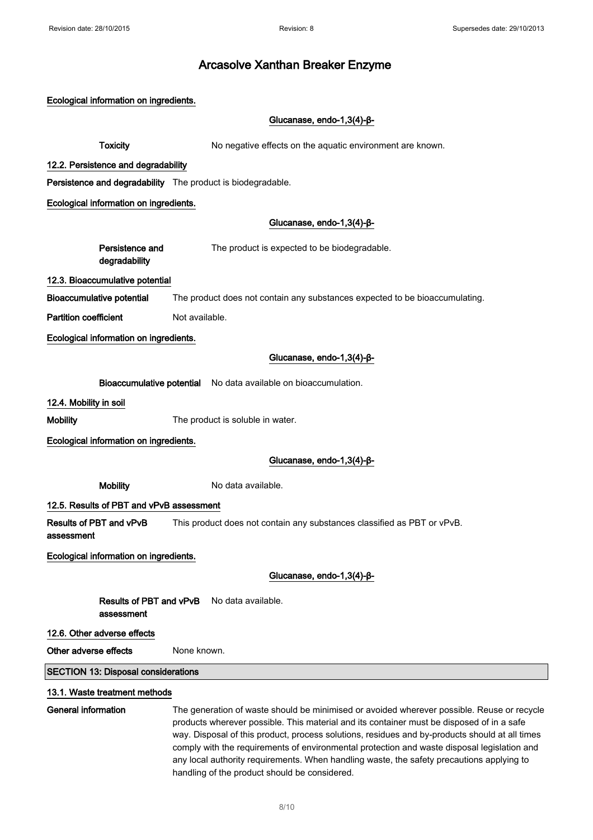Ecological information on ingredients. Glucanase, endo-1,3(4)-β-**Toxicity** No negative effects on the aquatic environment are known. 12.2. Persistence and degradability Persistence and degradability The product is biodegradable. Ecological information on ingredients. Glucanase, endo-1,3(4)-β-Persistence and degradability The product is expected to be biodegradable. 12.3. Bioaccumulative potential Bioaccumulative potential The product does not contain any substances expected to be bioaccumulating. **Partition coefficient** Not available. Ecological information on ingredients. Glucanase, endo-1,3(4)-β-Bioaccumulative potential No data available on bioaccumulation. 12.4. Mobility in soil Mobility **Mobility** The product is soluble in water. Ecological information on ingredients. Glucanase, endo-1,3(4)-β-Mobility Modata available. 12.5. Results of PBT and vPvB assessment Results of PBT and vPvB assessment This product does not contain any substances classified as PBT or vPvB. Ecological information on ingredients. Glucanase, endo-1,3(4)-β-Results of PBT and vPvB No data available. assessment 12.6. Other adverse effects Other adverse effects None known. SECTION 13: Disposal considerations 13.1. Waste treatment methods General information The generation of waste should be minimised or avoided wherever possible. Reuse or recycle products wherever possible. This material and its container must be disposed of in a safe way. Disposal of this product, process solutions, residues and by-products should at all times comply with the requirements of environmental protection and waste disposal legislation and

handling of the product should be considered.

any local authority requirements. When handling waste, the safety precautions applying to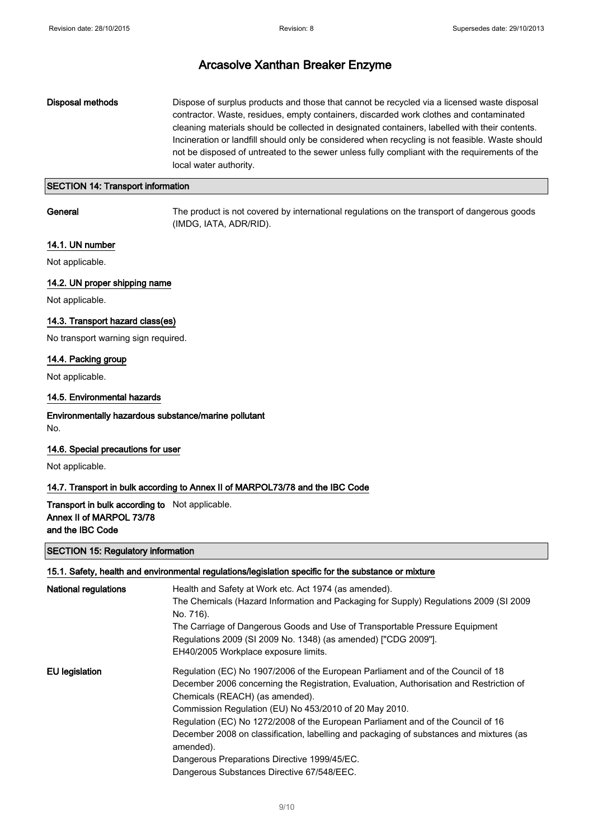### Disposal methods Dispose of surplus products and those that cannot be recycled via a licensed waste disposal contractor. Waste, residues, empty containers, discarded work clothes and contaminated cleaning materials should be collected in designated containers, labelled with their contents. Incineration or landfill should only be considered when recycling is not feasible. Waste should not be disposed of untreated to the sewer unless fully compliant with the requirements of the local water authority.

### SECTION 14: Transport information

General The product is not covered by international regulations on the transport of dangerous goods (IMDG, IATA, ADR/RID).

## 14.1. UN number

Not applicable.

### 14.2. UN proper shipping name

Not applicable.

### 14.3. Transport hazard class(es)

No transport warning sign required.

#### 14.4. Packing group

Not applicable.

### 14.5. Environmental hazards

### Environmentally hazardous substance/marine pollutant No.

### 14.6. Special precautions for user

Not applicable.

### 14.7. Transport in bulk according to Annex II of MARPOL73/78 and the IBC Code

### Transport in bulk according to Not applicable. Annex II of MARPOL 73/78 and the IBC Code

#### SECTION 15: Regulatory information

| 15.1. Safety, health and environmental regulations/legislation specific for the substance or mixture |                                                                                                      |  |
|------------------------------------------------------------------------------------------------------|------------------------------------------------------------------------------------------------------|--|
| <b>National regulations</b>                                                                          | Health and Safety at Work etc. Act 1974 (as amended).                                                |  |
|                                                                                                      | The Chemicals (Hazard Information and Packaging for Supply) Regulations 2009 (SI 2009                |  |
|                                                                                                      | No. 716).                                                                                            |  |
|                                                                                                      | The Carriage of Dangerous Goods and Use of Transportable Pressure Equipment                          |  |
|                                                                                                      | Regulations 2009 (SI 2009 No. 1348) (as amended) ["CDG 2009"].                                       |  |
|                                                                                                      | EH40/2005 Workplace exposure limits.                                                                 |  |
| EU legislation                                                                                       | Regulation (EC) No 1907/2006 of the European Parliament and of the Council of 18                     |  |
|                                                                                                      | December 2006 concerning the Registration, Evaluation, Authorisation and Restriction of              |  |
|                                                                                                      | Chemicals (REACH) (as amended).                                                                      |  |
|                                                                                                      | Commission Regulation (EU) No 453/2010 of 20 May 2010.                                               |  |
|                                                                                                      | Regulation (EC) No 1272/2008 of the European Parliament and of the Council of 16                     |  |
|                                                                                                      | December 2008 on classification, labelling and packaging of substances and mixtures (as<br>amended). |  |
|                                                                                                      | Dangerous Preparations Directive 1999/45/EC.                                                         |  |
|                                                                                                      | Dangerous Substances Directive 67/548/EEC.                                                           |  |